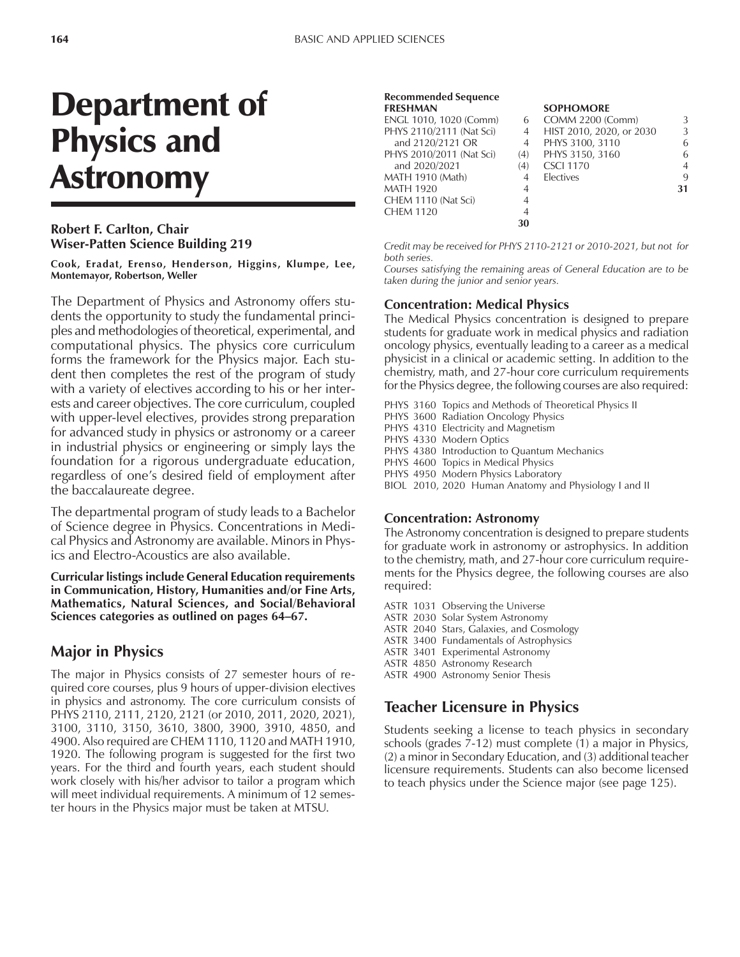# Department of Physics and Astronomy

#### **Robert F. Carlton, Chair Wiser-Patten Science Building 219**

**Cook, Eradat, Erenso, Henderson, Higgins, Klumpe, Lee, Montemayor, Robertson, Weller**

The Department of Physics and Astronomy offers students the opportunity to study the fundamental principles and methodologies of theoretical, experimental, and computational physics. The physics core curriculum forms the framework for the Physics major. Each student then completes the rest of the program of study with a variety of electives according to his or her interests and career objectives. The core curriculum, coupled with upper-level electives, provides strong preparation for advanced study in physics or astronomy or a career in industrial physics or engineering or simply lays the foundation for a rigorous undergraduate education, regardless of one's desired field of employment after the baccalaureate degree.

The departmental program of study leads to a Bachelor of Science degree in Physics. Concentrations in Medical Physics and Astronomy are available. Minors in Physics and Electro-Acoustics are also available.

**Curricular listings include General Education requirements in Communication, History, Humanities and/or Fine Arts, Mathematics, Natural Sciences, and Social/Behavioral** Sciences categories as outlined on pages 64–67.

## **Major in Physics**

The major in Physics consists of 27 semester hours of required core courses, plus 9 hours of upper-division electives in physics and astronomy. The core curriculum consists of PHYS 2110, 2111, 2120, 2121 (or 2010, 2011, 2020, 2021), 3100, 3110, 3150, 3610, 3800, 3900, 3910, 4850, and 4900. Also required are CHEM 1110, 1120 and MATH 1910, 1920. The following program is suggested for the first two years. For the third and fourth years, each student should work closely with his/her advisor to tailor a program which will meet individual requirements. A minimum of 12 semester hours in the Physics major must be taken at MTSU.

### **Recommended Sequence**

| <b>FRESHMAN</b>          |                | <b>SOPHOMORE</b>         |                |
|--------------------------|----------------|--------------------------|----------------|
| ENGL 1010, 1020 (Comm)   | 6              | <b>COMM 2200 (Comm)</b>  | 3              |
| PHYS 2110/2111 (Nat Sci) | $\overline{4}$ | HIST 2010, 2020, or 2030 | 3              |
| and 2120/2121 OR         | $\overline{4}$ | PHYS 3100, 3110          | 6              |
| PHYS 2010/2011 (Nat Sci) | (4)            | PHYS 3150, 3160          | 6              |
| and 2020/2021            | (4)            | <b>CSCI 1170</b>         | $\overline{4}$ |
| MATH 1910 (Math)         | $\overline{4}$ | <b>Electives</b>         | 9              |
| <b>MATH 1920</b>         | 4              |                          | 31             |
| CHEM 1110 (Nat Sci)      | 4              |                          |                |
| <b>CHEM 1120</b>         | 4              |                          |                |
|                          | 30             |                          |                |
|                          |                |                          |                |

*Credit may be received for PHYS 2110-2121 or 2010-2021, but not for both series.*

*Courses satisfying the remaining areas of General Education are to be taken during the junior and senior years.*

#### **Concentration: Medical Physics**

The Medical Physics concentration is designed to prepare students for graduate work in medical physics and radiation oncology physics, eventually leading to a career as a medical physicist in a clinical or academic setting. In addition to the chemistry, math, and 27-hour core curriculum requirements for the Physics degree, the following courses are also required:

PHYS 3160 Topics and Methods of Theoretical Physics II PHYS 3600 Radiation Oncology Physics PHYS 4310 Electricity and Magnetism PHYS 4330 Modern Optics PHYS 4380 Introduction to Quantum Mechanics PHYS 4600 Topics in Medical Physics PHYS 4950 Modern Physics Laboratory BIOL 2010, 2020 Human Anatomy and Physiology I and II

#### **Concentration: Astronomy**

The Astronomy concentration is designed to prepare students for graduate work in astronomy or astrophysics. In addition to the chemistry, math, and 27-hour core curriculum requirements for the Physics degree, the following courses are also required:

- ASTR 1031 Observing the Universe
- ASTR 2030 Solar System Astronomy
- ASTR 2040 Stars, Galaxies, and Cosmology
- ASTR 3400 Fundamentals of Astrophysics
- ASTR 3401 Experimental Astronomy
- ASTR 4850 Astronomy Research
- ASTR 4900 Astronomy Senior Thesis

## **Teacher Licensure in Physics**

Students seeking a license to teach physics in secondary schools (grades 7-12) must complete (1) a major in Physics, (2) a minor in Secondary Education, and (3) additional teacher licensure requirements. Students can also become licensed to teach physics under the Science major (see page 125).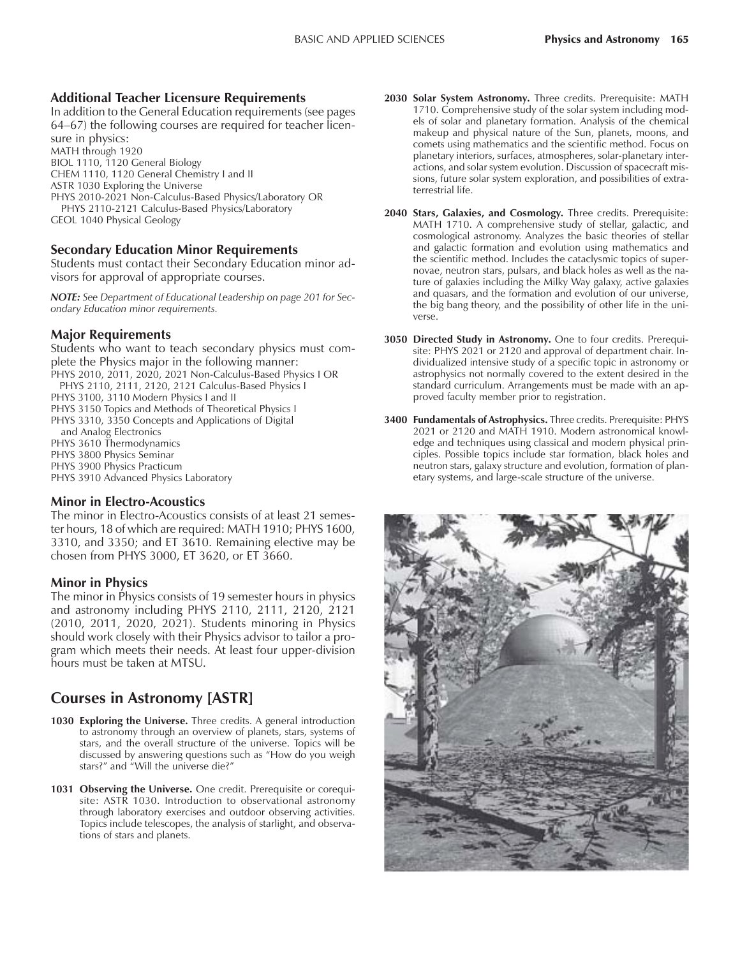#### **Additional Teacher Licensure Requirements**

In addition to the General Education requirements (see pages  $64–67$ ) the following courses are required for teacher licensure in physics:

MATH through 1920

BIOL 1110, 1120 General Biology

- CHEM 1110, 1120 General Chemistry I and II
- ASTR 1030 Exploring the Universe

PHYS 2010-2021 Non-Calculus-Based Physics/Laboratory OR

PHYS 2110-2121 Calculus-Based Physics/Laboratory

GEOL 1040 Physical Geology

#### **Secondary Education Minor Requirements**

Students must contact their Secondary Education minor advisors for approval of appropriate courses.

*NOTE: See Department of Educational Leadership on page 201 for Secondary Education minor requirements.*

#### **Major Requirements**

Students who want to teach secondary physics must complete the Physics major in the following manner:

- PHYS 2010, 2011, 2020, 2021 Non-Calculus-Based Physics I OR
- PHYS 2110, 2111, 2120, 2121 Calculus-Based Physics I
- PHYS 3100, 3110 Modern Physics I and II
- PHYS 3150 Topics and Methods of Theoretical Physics I
- PHYS 3310, 3350 Concepts and Applications of Digital
- and Analog Electronics
- PHYS 3610 Thermodynamics
- PHYS 3800 Physics Seminar
- PHYS 3900 Physics Practicum
- PHYS 3910 Advanced Physics Laboratory

#### **Minor in Electro-Acoustics**

The minor in Electro-Acoustics consists of at least 21 semester hours, 18 of which are required: MATH 1910; PHYS 1600, 3310, and 3350; and ET 3610. Remaining elective may be chosen from PHYS 3000, ET 3620, or ET 3660.

#### **Minor in Physics**

The minor in Physics consists of 19 semester hours in physics and astronomy including PHYS 2110, 2111, 2120, 2121 (2010, 2011, 2020, 2021). Students minoring in Physics should work closely with their Physics advisor to tailor a program which meets their needs. At least four upper-division hours must be taken at MTSU.

# **Courses in Astronomy [ASTR]**

- **1030 Exploring the Universe.** Three credits. A general introduction to astronomy through an overview of planets, stars, systems of stars, and the overall structure of the universe. Topics will be discussed by answering questions such as "How do you weigh stars?" and "Will the universe die?"
- **1031 Observing the Universe.** One credit. Prerequisite or corequisite: ASTR 1030. Introduction to observational astronomy through laboratory exercises and outdoor observing activities. Topics include telescopes, the analysis of starlight, and observations of stars and planets.
- **2030 Solar System Astronomy.** Three credits. Prerequisite: MATH 1710. Comprehensive study of the solar system including models of solar and planetary formation. Analysis of the chemical makeup and physical nature of the Sun, planets, moons, and comets using mathematics and the scientific method. Focus on planetary interiors, surfaces, atmospheres, solar-planetary interactions, and solar system evolution. Discussion of spacecraft missions, future solar system exploration, and possibilities of extraterrestrial life.
- **2040 Stars, Galaxies, and Cosmology.** Three credits. Prerequisite: MATH 1710. A comprehensive study of stellar, galactic, and cosmological astronomy. Analyzes the basic theories of stellar and galactic formation and evolution using mathematics and the scientific method. Includes the cataclysmic topics of supernovae, neutron stars, pulsars, and black holes as well as the nature of galaxies including the Milky Way galaxy, active galaxies and quasars, and the formation and evolution of our universe, the big bang theory, and the possibility of other life in the universe.
- **3050 Directed Study in Astronomy.** One to four credits. Prerequisite: PHYS 2021 or 2120 and approval of department chair. Individualized intensive study of a specific topic in astronomy or astrophysics not normally covered to the extent desired in the standard curriculum. Arrangements must be made with an approved faculty member prior to registration.
- **3400 Fundamentals of Astrophysics.** Three credits. Prerequisite: PHYS 2021 or 2120 and MATH 1910. Modern astronomical knowledge and techniques using classical and modern physical principles. Possible topics include star formation, black holes and neutron stars, galaxy structure and evolution, formation of planetary systems, and large-scale structure of the universe.

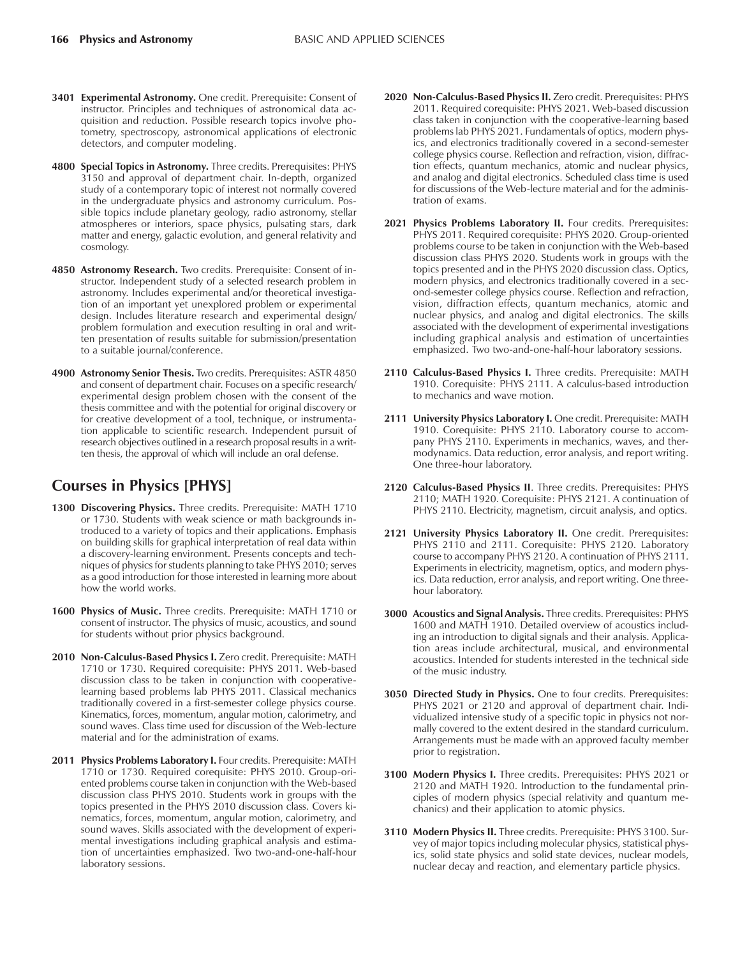- **3401 Experimental Astronomy.** One credit. Prerequisite: Consent of instructor. Principles and techniques of astronomical data acquisition and reduction. Possible research topics involve photometry, spectroscopy, astronomical applications of electronic detectors, and computer modeling.
- **4800 Special Topics in Astronomy.** Three credits. Prerequisites: PHYS 3150 and approval of department chair. In-depth, organized study of a contemporary topic of interest not normally covered in the undergraduate physics and astronomy curriculum. Possible topics include planetary geology, radio astronomy, stellar atmospheres or interiors, space physics, pulsating stars, dark matter and energy, galactic evolution, and general relativity and cosmology.
- **4850 Astronomy Research.** Two credits. Prerequisite: Consent of instructor. Independent study of a selected research problem in astronomy. Includes experimental and/or theoretical investigation of an important yet unexplored problem or experimental design. Includes literature research and experimental design/ problem formulation and execution resulting in oral and written presentation of results suitable for submission/presentation to a suitable journal/conference.
- **4900 Astronomy Senior Thesis.** Two credits. Prerequisites: ASTR 4850 and consent of department chair. Focuses on a specific research/ experimental design problem chosen with the consent of the thesis committee and with the potential for original discovery or for creative development of a tool, technique, or instrumentation applicable to scientific research. Independent pursuit of research objectives outlined in a research proposal results in a written thesis, the approval of which will include an oral defense.

## **Courses in Physics [PHYS]**

- **1300 Discovering Physics.** Three credits. Prerequisite: MATH 1710 or 1730. Students with weak science or math backgrounds introduced to a variety of topics and their applications. Emphasis on building skills for graphical interpretation of real data within a discovery-learning environment. Presents concepts and techniques of physics for students planning to take PHYS 2010; serves as a good introduction for those interested in learning more about how the world works.
- **1600 Physics of Music.** Three credits. Prerequisite: MATH 1710 or consent of instructor. The physics of music, acoustics, and sound for students without prior physics background.
- **2010 Non-Calculus-Based Physics I.** Zero credit. Prerequisite: MATH 1710 or 1730. Required corequisite: PHYS 2011. Web-based discussion class to be taken in conjunction with cooperativelearning based problems lab PHYS 2011. Classical mechanics traditionally covered in a first-semester college physics course. Kinematics, forces, momentum, angular motion, calorimetry, and sound waves. Class time used for discussion of the Web-lecture material and for the administration of exams.
- **2011 Physics Problems Laboratory I.** Four credits. Prerequisite: MATH 1710 or 1730. Required corequisite: PHYS 2010. Group-oriented problems course taken in conjunction with the Web-based discussion class PHYS 2010. Students work in groups with the topics presented in the PHYS 2010 discussion class. Covers kinematics, forces, momentum, angular motion, calorimetry, and sound waves. Skills associated with the development of experimental investigations including graphical analysis and estimation of uncertainties emphasized. Two two-and-one-half-hour laboratory sessions.
- 2020 Non-Calculus-Based Physics II. Zero credit. Prerequisites: PHYS 2011. Required corequisite: PHYS 2021. Web-based discussion class taken in conjunction with the cooperative-learning based problems lab PHYS 2021. Fundamentals of optics, modern physics, and electronics traditionally covered in a second-semester college physics course. Reflection and refraction, vision, diffraction effects, quantum mechanics, atomic and nuclear physics, and analog and digital electronics. Scheduled class time is used for discussions of the Web-lecture material and for the administration of exams.
- 2021 Physics Problems Laboratory II. Four credits. Prerequisites: PHYS 2011. Required corequisite: PHYS 2020. Group-oriented problems course to be taken in conjunction with the Web-based discussion class PHYS 2020. Students work in groups with the topics presented and in the PHYS 2020 discussion class. Optics, modern physics, and electronics traditionally covered in a second-semester college physics course. Reflection and refraction, vision, diffraction effects, quantum mechanics, atomic and nuclear physics, and analog and digital electronics. The skills associated with the development of experimental investigations including graphical analysis and estimation of uncertainties emphasized. Two two-and-one-half-hour laboratory sessions.
- **2110 Calculus-Based Physics I.** Three credits. Prerequisite: MATH 1910. Corequisite: PHYS 2111. A calculus-based introduction to mechanics and wave motion.
- **2111 University Physics Laboratory I.** One credit. Prerequisite: MATH 1910. Corequisite: PHYS 2110. Laboratory course to accompany PHYS 2110. Experiments in mechanics, waves, and thermodynamics. Data reduction, error analysis, and report writing. One three-hour laboratory.
- **2120 Calculus-Based Physics II**. Three credits. Prerequisites: PHYS 2110; MATH 1920. Corequisite: PHYS 2121. A continuation of PHYS 2110. Electricity, magnetism, circuit analysis, and optics.
- 2121 University Physics Laboratory II. One credit. Prerequisites: PHYS 2110 and 2111. Corequisite: PHYS 2120. Laboratory course to accompany PHYS 2120. A continuation of PHYS 2111. Experiments in electricity, magnetism, optics, and modern physics. Data reduction, error analysis, and report writing. One threehour laboratory.
- **3000 Acoustics and Signal Analysis.** Three credits. Prerequisites: PHYS 1600 and MATH 1910. Detailed overview of acoustics including an introduction to digital signals and their analysis. Application areas include architectural, musical, and environmental acoustics. Intended for students interested in the technical side of the music industry.
- **3050 Directed Study in Physics.** One to four credits. Prerequisites: PHYS 2021 or 2120 and approval of department chair. Individualized intensive study of a specific topic in physics not normally covered to the extent desired in the standard curriculum. Arrangements must be made with an approved faculty member prior to registration.
- **3100 Modern Physics I.** Three credits. Prerequisites: PHYS 2021 or 2120 and MATH 1920. Introduction to the fundamental principles of modern physics (special relativity and quantum mechanics) and their application to atomic physics.
- **3110 Modern Physics II.** Three credits. Prerequisite: PHYS 3100. Survey of major topics including molecular physics, statistical physics, solid state physics and solid state devices, nuclear models, nuclear decay and reaction, and elementary particle physics.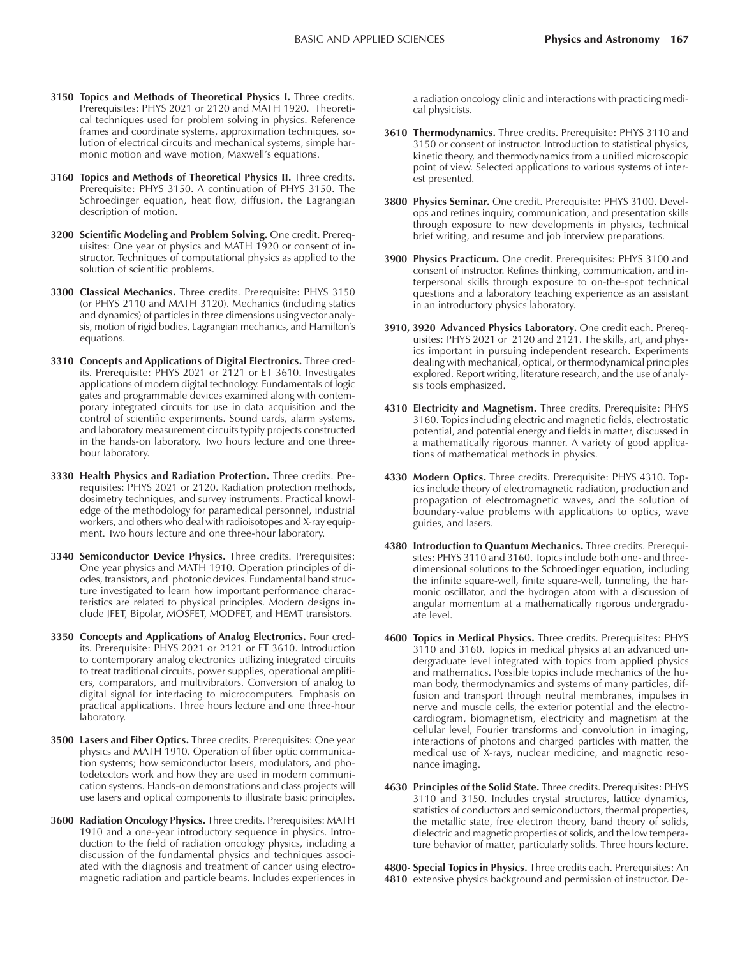- **3150 Topics and Methods of Theoretical Physics I.** Three credits. Prerequisites: PHYS 2021 or 2120 and MATH 1920. Theoretical techniques used for problem solving in physics. Reference frames and coordinate systems, approximation techniques, solution of electrical circuits and mechanical systems, simple harmonic motion and wave motion, Maxwell's equations.
- **3160 Topics and Methods of Theoretical Physics II.** Three credits. Prerequisite: PHYS 3150. A continuation of PHYS 3150. The Schroedinger equation, heat flow, diffusion, the Lagrangian description of motion.
- **3200 Scientific Modeling and Problem Solving.** One credit. Prerequisites: One year of physics and MATH 1920 or consent of instructor. Techniques of computational physics as applied to the solution of scientific problems.
- **3300 Classical Mechanics.** Three credits. Prerequisite: PHYS 3150 (or PHYS 2110 and MATH 3120). Mechanics (including statics and dynamics) of particles in three dimensions using vector analysis, motion of rigid bodies, Lagrangian mechanics, and Hamilton's equations.
- **3310 Concepts and Applications of Digital Electronics.** Three credits. Prerequisite: PHYS 2021 or 2121 or ET 3610. Investigates applications of modern digital technology. Fundamentals of logic gates and programmable devices examined along with contemporary integrated circuits for use in data acquisition and the control of scientific experiments. Sound cards, alarm systems, and laboratory measurement circuits typify projects constructed in the hands-on laboratory. Two hours lecture and one threehour laboratory.
- **3330 Health Physics and Radiation Protection.** Three credits. Prerequisites: PHYS 2021 or 2120. Radiation protection methods, dosimetry techniques, and survey instruments. Practical knowledge of the methodology for paramedical personnel, industrial workers, and others who deal with radioisotopes and X-ray equipment. Two hours lecture and one three-hour laboratory.
- **3340 Semiconductor Device Physics.** Three credits. Prerequisites: One year physics and MATH 1910. Operation principles of diodes, transistors, and photonic devices. Fundamental band structure investigated to learn how important performance characteristics are related to physical principles. Modern designs include JFET, Bipolar, MOSFET, MODFET, and HEMT transistors.
- **3350 Concepts and Applications of Analog Electronics.** Four credits. Prerequisite: PHYS 2021 or 2121 or ET 3610. Introduction to contemporary analog electronics utilizing integrated circuits to treat traditional circuits, power supplies, operational amplifiers, comparators, and multivibrators. Conversion of analog to digital signal for interfacing to microcomputers. Emphasis on practical applications. Three hours lecture and one three-hour laboratory.
- **3500 Lasers and Fiber Optics.** Three credits. Prerequisites: One year physics and MATH 1910. Operation of fiber optic communication systems; how semiconductor lasers, modulators, and photodetectors work and how they are used in modern communication systems. Hands-on demonstrations and class projects will use lasers and optical components to illustrate basic principles.
- **3600 Radiation Oncology Physics.** Three credits. Prerequisites: MATH 1910 and a one-year introductory sequence in physics. Introduction to the field of radiation oncology physics, including a discussion of the fundamental physics and techniques associated with the diagnosis and treatment of cancer using electromagnetic radiation and particle beams. Includes experiences in

a radiation oncology clinic and interactions with practicing medical physicists.

- **3610 Thermodynamics.** Three credits. Prerequisite: PHYS 3110 and 3150 or consent of instructor. Introduction to statistical physics, kinetic theory, and thermodynamics from a unified microscopic point of view. Selected applications to various systems of interest presented.
- **3800 Physics Seminar.** One credit. Prerequisite: PHYS 3100. Develops and refines inquiry, communication, and presentation skills through exposure to new developments in physics, technical brief writing, and resume and job interview preparations.
- **3900 Physics Practicum.** One credit. Prerequisites: PHYS 3100 and consent of instructor. Refines thinking, communication, and interpersonal skills through exposure to on-the-spot technical questions and a laboratory teaching experience as an assistant in an introductory physics laboratory.
- **3910, 3920 Advanced Physics Laboratory.** One credit each. Prerequisites: PHYS 2021 or 2120 and 2121. The skills, art, and physics important in pursuing independent research. Experiments dealing with mechanical, optical, or thermodynamical principles explored. Report writing, literature research, and the use of analysis tools emphasized.
- **4310 Electricity and Magnetism.** Three credits. Prerequisite: PHYS 3160. Topics including electric and magnetic fields, electrostatic potential, and potential energy and fields in matter, discussed in a mathematically rigorous manner. A variety of good applications of mathematical methods in physics.
- **4330 Modern Optics.** Three credits. Prerequisite: PHYS 4310. Topics include theory of electromagnetic radiation, production and propagation of electromagnetic waves, and the solution of boundary-value problems with applications to optics, wave guides, and lasers.
- **4380 Introduction to Quantum Mechanics.** Three credits. Prerequisites: PHYS 3110 and 3160. Topics include both one- and threedimensional solutions to the Schroedinger equation, including the infinite square-well, finite square-well, tunneling, the harmonic oscillator, and the hydrogen atom with a discussion of angular momentum at a mathematically rigorous undergraduate level.
- **4600 Topics in Medical Physics.** Three credits. Prerequisites: PHYS 3110 and 3160. Topics in medical physics at an advanced undergraduate level integrated with topics from applied physics and mathematics. Possible topics include mechanics of the human body, thermodynamics and systems of many particles, diffusion and transport through neutral membranes, impulses in nerve and muscle cells, the exterior potential and the electrocardiogram, biomagnetism, electricity and magnetism at the cellular level, Fourier transforms and convolution in imaging, interactions of photons and charged particles with matter, the medical use of X-rays, nuclear medicine, and magnetic resonance imaging.
- **4630 Principles of the Solid State.** Three credits. Prerequisites: PHYS 3110 and 3150. Includes crystal structures, lattice dynamics, statistics of conductors and semiconductors, thermal properties, the metallic state, free electron theory, band theory of solids, dielectric and magnetic properties of solids, and the low temperature behavior of matter, particularly solids. Three hours lecture.

**4800- Special Topics in Physics.** Three credits each. Prerequisites: An **4810** extensive physics background and permission of instructor. De